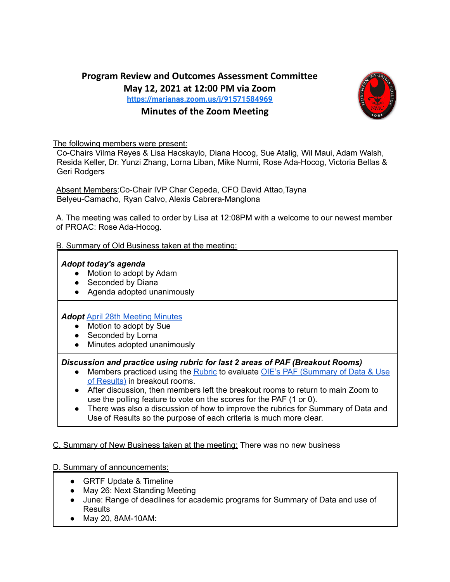# **Program Review and Outcomes Assessment Committee May 12, 2021 at 12:00 PM via Zoom <https://marianas.zoom.us/j/91571584969>**

# **Minutes of the Zoom Meeting**



The following members were present:

Co-Chairs Vilma Reyes & Lisa Hacskaylo, Diana Hocog, Sue Atalig, Wil Maui, Adam Walsh, Resida Keller, Dr. Yunzi Zhang, Lorna Liban, Mike Nurmi, Rose Ada-Hocog, Victoria Bellas & Geri Rodgers

Absent Members: Co-Chair IVP Char Cepeda, CFO David Attao, Tayna Belyeu-Camacho, Ryan Calvo, Alexis Cabrera-Manglona

A. The meeting was called to order by Lisa at 12:08PM with a welcome to our newest member of PROAC: Rose Ada-Hocog.

#### B. Summary of Old Business taken at the meeting:

#### *Adopt today's agenda*

- Motion to adopt by Adam
- Seconded by Diana
- Agenda adopted unanimously

#### *Adopt* April 28th [Meeting](https://drive.google.com/file/d/1xtkSxOrZK4rdra8nwZJS6FLqJ-FfbLwd/view?usp=sharing) Minutes

- Motion to adopt by Sue
- Seconded by Lorna
- Minutes adopted unanimously

*Discussion and practice using rubric for last 2 areas of PAF (Breakout Rooms)*

- Members practiced using the [Rubric](https://docs.google.com/presentation/d/1S46bRn2c-bVB6c0ow_lQYjYHvZuThxTxY_qMC_7JZSc/edit?usp=sharing) to evaluate OIE's PAF [\(Summary](https://drive.google.com/file/d/1lQkfnKP2k0roejDL70XltrQr-qtTkTl-/view?usp=sharing) of Data & Use of [Results\)](https://drive.google.com/file/d/1lQkfnKP2k0roejDL70XltrQr-qtTkTl-/view?usp=sharing) in breakout rooms.
- After discussion, then members left the breakout rooms to return to main Zoom to use the polling feature to vote on the scores for the PAF (1 or 0).
- There was also a discussion of how to improve the rubrics for Summary of Data and Use of Results so the purpose of each criteria is much more clear.

## C. Summary of New Business taken at the meeting: There was no new business

## D. Summary of announcements:

- GRTF Update & Timeline
- May 26: Next Standing Meeting
- June: Range of deadlines for academic programs for Summary of Data and use of **Results**
- May 20, 8AM-10AM: